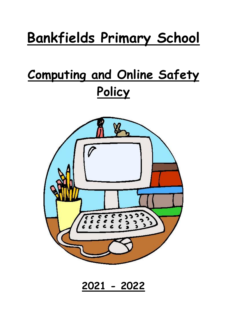# **Bankfields Primary School**

## **Computing and Online Safety Policy**



**2021 - 2022**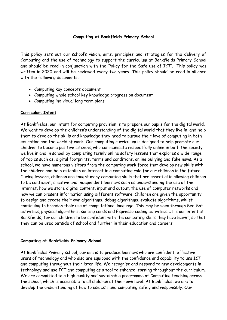#### **Computing at Bankfields Primary School**

This policy sets out our school's vision, aims, principles and strategies for the delivery of Computing and the use of technology to support the curriculum at Bankfields Primary School and should be read in conjunction with the 'Policy for the Safe use of ICT'. This policy was written in 2020 and will be reviewed every two years. This policy should be read in alliance with the following documents:

- Computing key concepts document
- Computing whole school key knowledge progression document
- Computing individual long term plans

#### **Curriculum Intent**

At Bankfields, our intent for computing provision is to prepare our pupils for the digital world. We want to develop the children's understanding of the digital world that they live in, and help them to develop the skills and knowledge they need to pursue their love of computing in both education and the world of work. Our computing curriculum is designed to help promote our children to become positive citizens, who communicate respectfully online in both the society we live in and in school by completing termly online safety lessons that explores a wide range of topics such as, digital footprints, terms and conditions, online bullying and fake news. As a school, we have numerous visitors from the computing work force that develop new skills with the children and help establish an interest in a computing role for our children in the future. During lessons, children are taught many computing skills that are essential in allowing children to be confident, creative and independent learners such as understanding the use of the internet, how we store digital content, input and output, the use of computer networks and how we can present information using different software. Children are given the opportunity to design and create their own algorithms, debug algorithms, evaluate algorithms, whilst continuing to broaden their use of computational language. This may be seen through Bee-Bot activities, physical algorithms, sorting cards and Espresso coding activities. It is our intent at Bankfields, for our children to be confident with the computing skills they have learnt, so that they can be used outside of school and further in their education and careers.

#### **Computing at Bankfields Primary School**

At Bankfields Primary school, our aim is to produce learners who are confident, effective users of technology and who also are equipped with the confidence and capability to use ICT and computing throughout their later life. We recognise and respond to new developments in technology and use ICT and computing as a tool to enhance learning throughout the curriculum. We are committed to a high quality and sustainable programme of Computing teaching across the school, which is accessible to all children at their own level. At Bankfields, we aim to develop the understanding of how to use ICT and computing safely and responsibly. Our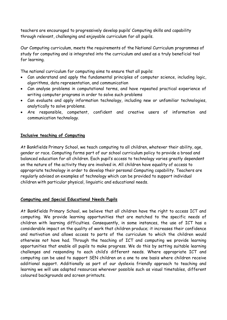teachers are encouraged to progressively develop pupils' Computing skills and capability through relevant, challenging and enjoyable curriculum for all pupils.

Our Computing curriculum, meets the requirements of the National Curriculum programmes of study for computing and is integrated into the curriculum and used as a truly beneficial tool for learning.

The national curriculum for computing aims to ensure that all pupils:

- Can understand and apply the fundamental principles of computer science, including logic, algorithms, data representation, and communication
- Can analyse problems in computational terms, and have repeated practical experience of writing computer programs in order to solve such problems
- Can evaluate and apply information technology, including new or unfamiliar technologies, analytically to solve problems.
- Are responsible, competent, confident and creative users of information and communication technology.

#### **Inclusive teaching of Computing**

At Bankfields Primary School, we teach computing to all children, whatever their ability, age, gender or race. Computing forms part of our school curriculum policy to provide a broad and balanced education for all children. Each pupil's access to technology varies greatly dependent on the nature of the activity they are involved in. All children have equality of access to appropriate technology in order to develop their personal Computing capability. Teachers are regularly advised on examples of technology which can be provided to support individual children with particular physical, linguistic and educational needs.

#### **Computing and Special Educational Needs Pupils**

At Bankfields Primary School, we believe that all children have the right to access ICT and computing. We provide learning opportunities that are matched to the specific needs of children with learning difficulties. Consequently, in some instances, the use of ICT has a considerable impact on the quality of work that children produce; it increases their confidence and motivation and allows access to parts of the curriculum to which the children would otherwise not have had. Through the teaching of ICT and computing we provide learning opportunities that enable all pupils to make progress. We do this by setting suitable learning challenges and responding to each child's different needs. Where appropriate ICT and computing can be used to support SEN children on a one to one basis where children receive additional support. Additionally as part of our dyslexia friendly approach to teaching and learning we will use adapted resources wherever possible such as visual timetables, different coloured backgrounds and screen printouts.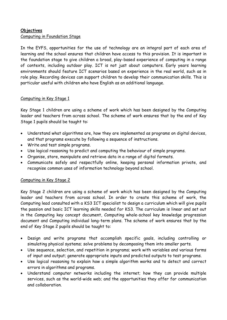#### **Objectives**  Computing in Foundation Stage

In the EYFS, opportunities for the use of technology are an integral part of each area of learning and the school ensures that children have access to this provision. It is important in the foundation stage to give children a broad, play-based experience of computing in a range of contexts, including outdoor play. ICT is not just about computers. Early years learning environments should feature ICT scenarios based on experience in the real world, such as in role play. Recording devices can support children to develop their communication skills. This is particular useful with children who have English as an additional language.

#### Computing in Key Stage 1

Key Stage 1 children are using a scheme of work which has been designed by the Computing leader and teachers from across school. The scheme of work ensures that by the end of Key Stage 1 pupils should be taught to:

- Understand what algorithms are, how they are implemented as programs on digital devices, and that programs execute by following a sequence of instructions.
- Write and test simple programs.
- Use logical reasoning to predict and computing the behaviour of simple programs.
- Organise, store, manipulate and retrieve data in a range of digital formats.
- Communicate safely and respectfully online, keeping personal information private, and recognise common uses of information technology beyond school.

#### Computing in Key Stage 2

Key Stage 2 children are using a scheme of work which has been designed by the Computing leader and teachers from across school. In order to create this scheme of work, the Computing lead consulted with a KS3 ICT specialist to design a curriculum which will give pupils the passion and basic ICT learning skills needed for KS3. The curriculum is linear and set out in the Computing key concept document, Computing whole-school key knowledge progression document and Computing individual long-term plans. The scheme of work ensures that by the end of Key Stage 2 pupils should be taught to:

- Design and write programs that accomplish specific goals, including controlling or simulating physical systems; solve problems by decomposing them into smaller parts.
- Use sequence, selection, and repetition in programs; work with variables and various forms of input and output; generate appropriate inputs and predicted outputs to test programs.
- Use logical reasoning to explain how a simple algorithm works and to detect and correct errors in algorithms and programs.
- Understand computer networks including the internet; how they can provide multiple services, such as the world-wide web; and the opportunities they offer for communication and collaboration.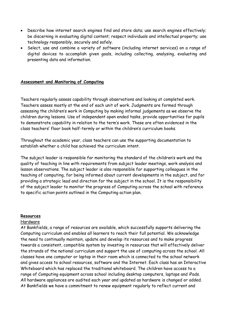- Describe how internet search engines find and store data; use search engines effectively; be discerning in evaluating digital content; respect individuals and intellectual property; use technology responsibly, securely and safely.
- Select, use and combine a variety of software (including internet services) on a range of digital devices to accomplish given goals, including collecting, analysing, evaluating and presenting data and information.

#### **Assessment and Monitoring of Computing**

Teachers regularly assess capability through observations and looking at completed work. Teachers assess mostly at the end of each unit of work. Judgments are formed through assessing the children's work in Computing by making informal judgements as we observe the children during lessons. Use of independent open ended tasks, provide opportunities for pupils to demonstrate capability in relation to the term's work. These are often evidenced in the class teachers' floor book half-termly or within the children's curriculum books.

Throughout the academic year, class teachers can use the supporting documentation to establish whether a child has achieved the curriculum intent.

The subject leader is responsible for monitoring the standard of the children's work and the quality of teaching in line with requirements from subject leader meetings, work analysis and lesson observations. The subject leader is also responsible for supporting colleagues in the teaching of computing, for being informed about current developments in the subject, and for providing a strategic lead and direction for the subject in the school. It is the responsibility of the subject leader to monitor the progress of Computing across the school with reference to specific action points outlined in the Computing action plan.

#### **Resources**

#### Hardware

At Bankfields, a range of resources are available, which successfully supports delivering the Computing curriculum and enables all learners to reach their full potential. We acknowledge the need to continually maintain, update and develop its resources and to make progress towards a consistent, compatible system by investing in resources that will effectively deliver the strands of the national curriculum and support the use of computing across the school. All classes have one computer or laptop in their room which is connected to the school network and gives access to school resources, software and the Internet. Each class has an Interactive Whiteboard which has replaced the traditional whiteboard. The children have access to a range of Computing equipment across school including desktop computers, laptops and iPads. All hardware appliances are audited each year and updated as hardware is changed or added. At Bankfields we have a commitment to renew equipment regularly to reflect current and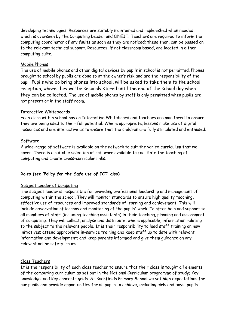developing technologies. Resources are suitably maintained and replenished when needed, which is overseen by the Computing Leader and ONEIT. Teachers are required to inform the computing coordinator of any faults as soon as they are noticed; these then, can be passed on to the relevant technical support. Resources, if not classroom based, are located in either computing suite.

#### Mobile Phones

The use of mobile phones and other digital devices by pupils in school is not permitted. Phones brought to school by pupils are done so at the owner's risk and are the responsibility of the pupil. Pupils who do bring phones into school, will be asked to take them to the school reception, where they will be securely stored until the end of the school day when they can be collected. The use of mobile phones by staff is only permitted when pupils are not present or in the staff room.

#### Interactive Whiteboards

Each class within school has an Interactive Whiteboard and teachers are monitored to ensure they are being used to their full potential. Where appropriate, lessons make use of digital resources and are interactive as to ensure that the children are fully stimulated and enthused.

#### Software

A wide-range of software is available on the network to suit the varied curriculum that we cover. There is a suitable selection of software available to facilitate the teaching of computing and create cross-curricular links.

#### **Roles (see 'Policy for the Safe use of ICT' also)**

#### Subject Leader of Computing

The subject leader is responsible for providing professional leadership and management of computing within the school. They will monitor standards to ensure high quality teaching, effective use of resources and improved standards of learning and achievement. This will include observation of lessons and monitoring of the pupils' work. To offer help and support to all members of staff (including teaching assistants) in their teaching, planning and assessment of computing. They will collect, analyse and distribute, where applicable, information relating to the subject to the relevant people. It is their responsibility to lead staff training on new initiatives; attend appropriate in-service training and keep staff up to date with relevant information and development; and keep parents informed and give them guidance on any relevant online safety issues.

#### Class Teachers

It is the responsibility of each class teacher to ensure that their class is taught all elements of the computing curriculum as set out in the National Curriculum programme of study; Key knowledge; and Key concepts grids. At Bankfields Primary School we set high expectations for our pupils and provide opportunities for all pupils to achieve, including girls and boys, pupils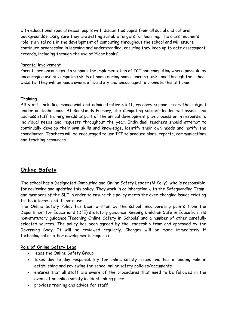with educational special needs, pupils with disabilities pupils from all social and cultural backgrounds making sure they are setting suitable targets for learning. The class teacher's role is a vital role in the development of computing throughout the school and will ensure continued progression in learning and understanding, ensuring they keep up to date assessment records, including through the use of 'floor books'.

#### Parental involvement

Parents are encouraged to support the implementation of ICT and computing where possible by encouraging use of computing skills at home during home-learning tasks and through the school website. They will be made aware of e-safety and encouraged to promote this at home.

#### **Training**

All staff, including managerial and administrative staff, receives support from the subject leader or technicians. At Bankfields Primary, the Computing subject leader will assess and address staff training needs as part of the annual development plan process or in response to individual needs and requests throughout the year. Individual teachers should attempt to continually develop their own skills and knowledge, identify their own needs and notify the coordinator. Teachers will be encouraged to use ICT to produce plans, reports, communications and teaching resources.

### **Online Safety**

The school has a Designated Computing and Online Safety Leader (M Kelly), who is responsible for reviewing and updating this policy. They work in collaboration with the Safeguarding Team and members of the SLT in order to ensure this policy meets the ever-changing issues relating to the internet and its safe use.

The Online Safety Policy has been written by the school, incorporating points from the Department for Education's (DfE) statutory guidance 'Keeping Children Safe in Education', its non-statutory guidance 'Teaching Online Safety in Schools' and a number of other carefully selected sources. The policy has been agreed by the leadership team and approved by the Governing Body. It will be reviewed regularly. Changes will be made immediately if technological or other developments require it.

#### **Role of Online Safety Lead**

- leads the Online Safety Group
- takes day to day responsibility for online safety issues and has a leading role in establishing and reviewing the school online safety policies/documents
- ensures that all staff are aware of the procedures that need to be followed in the event of an online safety incident taking place.
- provides training and advice for staff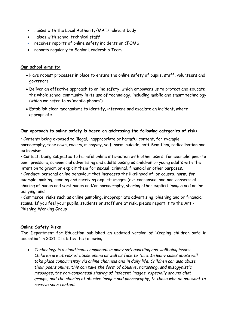- liaises with the Local Authority/MAT/relevant body
- liaises with school technical staff
- receives reports of online safety incidents on CPOMS
- reports regularly to Senior Leadership Team

#### **Our school aims to:**

- Have robust processes in place to ensure the online safety of pupils, staff, volunteers and governors
- Deliver an effective approach to online safety, which empowers us to protect and educate the whole school community in its use of technology, including mobile and smart technology (which we refer to as 'mobile phones')
- Establish clear mechanisms to identify, intervene and escalate an incident, where appropriate

#### **Our approach to online safety is based on addressing the following categories of risk:**

• Content: being exposed to illegal, inappropriate or harmful content, for example: pornography, fake news, racism, misogyny, self-harm, suicide, anti-Semitism, radicalisation and extremism.

• Contact: being subjected to harmful online interaction with other users; for example: peer to peer pressure, commercial advertising and adults posing as children or young adults with the intention to groom or exploit them for sexual, criminal, financial or other purposes.

• Conduct: personal online behaviour that increases the likelihood of, or causes, harm; for example, making, sending and receiving explicit images (e.g. consensual and non-consensual sharing of nudes and semi-nudes and/or pornography, sharing other explicit images and online bullying; and

• Commerce: risks such as online gambling, inappropriate advertising, phishing and or financial scams. If you feel your pupils, students or staff are at risk, please report it to the Anti-Phishing Working Group

#### **Online Safety Risks**

The Department for Education published an updated version of 'Keeping children safe in education' in 2021. It states the following:

 *Technology is a significant component in many safeguarding and wellbeing issues. Children are at risk of abuse online as well as face to face. In many cases abuse will take place concurrently via online channels and in daily life. Children can also abuse their peers online, this can take the form of abusive, harassing, and misogynistic messages, the non-consensual sharing of indecent images, especially around chat groups, and the sharing of abusive images and pornography, to those who do not want to receive such content.*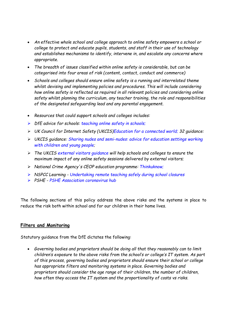- *An effective whole school and college approach to online safety empowers a school or college to protect and educate pupils, students, and staff in their use of technology and establishes mechanisms to identify, intervene in, and escalate any concerns where appropriate.*
- *The breadth of issues classified within online safety is considerable, but can be categorised into four areas of risk (content, contact, conduct and commerce)*
- *Schools and colleges should ensure online safety is a running and interrelated theme whilst devising and implementing policies and procedures. This will include considering how online safety is reflected as required in all relevant policies and considering online safety whilst planning the curriculum, any teacher training, the role and responsibilities of the designated safeguarding lead and any parental engagement.*
- *Resources that could support schools and colleges includes:*
- *DfE advice for schools: teaching online safety in schools;*
- *UK Council for Internet Safety (UKCIS)Education for a connected world; 32 guidance:*
- *UKCIS guidance: Sharing nudes and semi-nudes: advice for education settings working with children and young people;*
- *The UKCIS external visitors guidance will help schools and colleges to ensure the maximum impact of any online safety sessions delivered by external visitors;*
- *National Crime Agency's CEOP education programme: Thinkuknow;*
- *NSPCC Learning - Undertaking remote teaching safely during school closures*
- *PSHE - PSHE Association coronavirus hub*

The following sections of this policy address the above risks and the systems in place to reduce the risk both within school and for our children in their home lives.

#### **Filters and Monitoring**

Statutory guidance from the DfE dictates the following:

 *Governing bodies and proprietors should be doing all that they reasonably can to limit children's exposure to the above risks from the school's or college's IT system. As part of this process, governing bodies and proprietors should ensure their school or college has appropriate filters and monitoring systems in place. Governing bodies and proprietors should consider the age range of their children, the number of children, how often they access the IT system and the proportionality of costs vs risks.*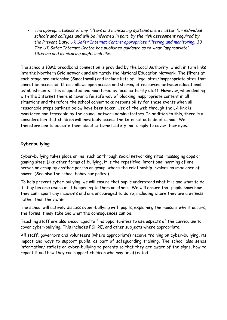*The appropriateness of any filters and monitoring systems are a matter for individual schools and colleges and will be informed in part, by the risk assessment required by the Prevent Duty. UK Safer Internet Centre: appropriate filtering and monitoring. 33 The UK Safer Internet Centre has published guidance as to what "appropriate" filtering and monitoring might look like:* 

The school's 10Mb broadband connection is provided by the Local Authority, which in turn links into the Northern Grid network and ultimately the National Education Network. The filters at each stage are extensive (Smoothwall) and include lists of illegal sites/inappropriate sites that cannot be accessed. It also allows open access and sharing of resources between educational establishments. This is updated and monitored by local authority staff. However, when dealing with the Internet there is never a failsafe way of blocking inappropriate content in all situations and therefore the school cannot take responsibility for these events when all reasonable steps outlined below have been taken. Use of the web through the LA link is monitored and traceable by the council network administrators. In addition to this, there is a consideration that children will inevitably access the Internet outside of school. We therefore aim to educate them about Internet safety, not simply to cover their eyes.

#### **Cyberbullying**

Cyber-bullying takes place online, such as through social networking sites, messaging apps or gaming sites. Like other forms of bullying, it is the repetitive, intentional harming of one person or group by another person or group, where the relationship involves an imbalance of power. (See also the school behaviour policy.)

To help prevent cyber-bullying, we will ensure that pupils understand what it is and what to do if they become aware of it happening to them or others. We will ensure that pupils know how they can report any incidents and are encouraged to do so, including where they are a witness rather than the victim.

The school will actively discuss cyber-bullying with pupils, explaining the reasons why it occurs, the forms it may take and what the consequences can be.

Teaching staff are also encouraged to find opportunities to use aspects of the curriculum to cover cyber-bullying. This includes PSHRE, and other subjects where appropriate.

All staff, governors and volunteers (where appropriate) receive training on cyber-bullying, its impact and ways to support pupils, as part of safeguarding training. The school also sends information/leaflets on cyber-bullying to parents so that they are aware of the signs, how to report it and how they can support children who may be affected.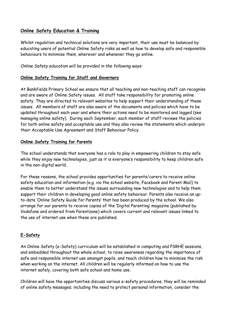#### **Online Safety Education & Training**

Whilst regulation and technical solutions are very important, their use must be balanced by educating users of potential Online Safety risks as well as how to develop safe and responsible behaviours to minimise them, wherever and whenever they go online.

#### *Online Safety education will be provided in the following ways:*

#### **Online Safety Training for Staff and Governors**

At Bankfields Primary School we ensure that all teaching and non-teaching staff can recognise and are aware of Online Safety issues. All staff take responsibility for promoting online safety. They are directed to relevant websites to help support their understanding of these issues. All members of staff are also aware of the documents and policies which have to be updated throughout each year and where their actions need to be monitored and logged (see managing online safety). During each September, each member of staff reviews the policies for both online safety and acceptable use and they also review the statements which underpin their Acceptable Use Agreement and Staff Behaviour Policy.

#### **Online Safety Training for Parents**

The school understands that everyone has a role to play in empowering children to stay safe while they enjoy new technologies, just as it is everyone's responsibility to keep children safe in the non-digital world.

For these reasons, the school provides opportunities for parents/carers to receive online safety education and information (e.g. via the school website, Facebook and Parent Mail) to enable them to better understand the issues surrounding new technologies and to help them support their children in developing good online safety behaviour. Parents also receive an upto-date 'Online Safety Guide for Parents' that has been produced by the school. We also arrange for our parents to receive copies of the 'Digital Parenting' magazine (published by Vodafone and ordered from Parentzone) which covers current and relevant issues linked to the use of internet use when these are published.

#### **E-Safety**

An Online Safety (e-Safety) curriculum will be established in computing and PSRHE sessions, and embedded throughout the whole school, to raise awareness regarding the importance of safe and responsible internet use amongst pupils, and teach children how to minimise the risk when working on the internet. All children will be regularly informed on how to use the internet safely, covering both safe school and home use.

Children will have the opportunities discuss various e-safety procedures, they will be reminded of online safety messages; including the need to protect personal information, consider the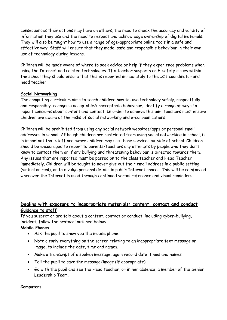consequences their actions may have on others, the need to check the accuracy and validity of information they use and the need to respect and acknowledge ownership of digital materials. They will also be taught how to use a range of age-appropriate online tools in a safe and effective way. Staff will ensure that they model safe and responsible behaviour in their own use of technology during lessons.

Children will be made aware of where to seek advice or help if they experience problems when using the Internet and related technologies. If a teacher suspects an E-safety issues within the school they should ensure that this is reported immediately to the ICT coordinator and head teacher.

#### **Social Networking**

The computing curriculum aims to teach children how to: use technology safely, respectfully and responsibly; recognise acceptable/unacceptable behaviour; identify a range of ways to report concerns about content and contact. In order to achieve this aim, teachers must ensure children are aware of the risks of social networking and e-communications.

Children will be prohibited from using any social network websites/apps or personal email addresses in school. Although children are restricted from using social networking in school, it is important that staff are aware children may use these services outside of school. Children should be encouraged to report to parents/teachers any attempts by people who they don't know to contact them or if any bullying and threatening behaviour is directed towards them. Any issues that are reported must be passed on to the class teacher and Head Teacher immediately. Children will be taught to never give out their email address in a public setting (virtual or real), or to divulge personal details in public Internet spaces. This will be reinforced whenever the Internet is used through continued verbal reference and visual reminders.

#### **Dealing with exposure to inappropriate materials: content, contact and conduct Guidance to staff**

If you suspect or are told about a content, contact or conduct, including cyber-bullying, incident, follow the protocol outlined below:

#### **Mobile Phones**

- Ask the pupil to show you the mobile phone.
- Note clearly everything on the screen relating to an inappropriate text message or image, to include the date, time and names.
- Make a transcript of a spoken message, again record date, times and names
- Tell the pupil to save the message/image (if appropriate).
- Go with the pupil and see the Head teacher, or in her absence, a member of the Senior Leadership Team.

#### **Computers**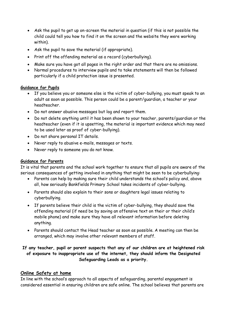- Ask the pupil to get up on-screen the material in question (if this is not possible the child could tell you how to find it on the screen and the website they were working within).
- Ask the pupil to save the material (if appropriate).
- Print off the offending material as a record (cyberbullying).
- Make sure you have got all pages in the right order and that there are no omissions.
- Normal procedures to interview pupils and to take statements will then be followed particularly if a child protection issue is presented.

#### **Guidance for Pupils**

- If you believe you or someone else is the victim of cyber-bullying, you must speak to an adult as soon as possible. This person could be a parent/guardian, a teacher or your headteacher.
- Do not answer abusive messages but log and report them.
- Do not delete anything until it has been shown to your teacher, parents/guardian or the headteacher (even if it is upsetting, the material is important evidence which may need to be used later as proof of cyber-bullying).
- Do not share personal IT details.
- Never reply to abusive e-mails, messages or texts.
- Never reply to someone you do not know.

#### **Guidance for Parents**

It is vital that parents and the school work together to ensure that all pupils are aware of the serious consequences of getting involved in anything that might be seen to be cyberbullying:

- Parents can help by making sure their child understands the school's policy and, above all, how seriously Bankfields Primary School takes incidents of cyber-bullying.
- Parents should also explain to their sons or daughters legal issues relating to cyberbullying.
- If parents believe their child is the victim of cyber-bullying, they should save the offending material (if need be by saving an offensive text on their or their child's mobile phone) and make sure they have all relevant information before deleting anything.
- Parents should contact the Head teacher as soon as possible. A meeting can then be arranged, which may involve other relevant members of staff.

#### **If any teacher, pupil or parent suspects that any of our children are at heightened risk of exposure to inappropriate use of the internet, they should inform the Designated Safeguarding Leads as a priority.**

#### **Online Safety at home**

In line with the school's approach to all aspects of safeguarding, parental engagement is considered essential in ensuring children are safe online. The school believes that parents are